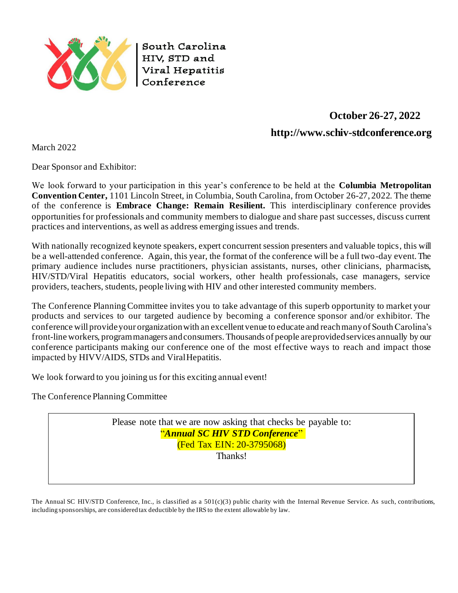

South Carolina HIV, STD and Viral Hepatitis Conference

# **October 26-27, 2022 [http://www.schiv-stdconference.org](http://www.schiv-stdconference.org/)**

March 2022

Dear Sponsor and Exhibitor:

We look forward to your participation in this year's conference to be held at the **Columbia Metropolitan Convention Center,** 1101 Lincoln Street, in Columbia, South Carolina, from October 26-27, 2022. The theme of the conference is **Embrace Change: Remain Resilient.** This interdisciplinary conference provides opportunities for professionals and community members to dialogue and share past successes, discuss current practices and interventions, as well as address emerging issues and trends.

With nationally recognized keynote speakers, expert concurrent session presenters and valuable topics, this will be a well-attended conference. Again, this year, the format of the conference will be a full two-day event. The primary audience includes nurse practitioners, physician assistants, nurses, other clinicians, pharmacists, HIV/STD/Viral Hepatitis educators, social workers, other health professionals, case managers, service providers, teachers, students, people living with HIV and other interested community members.

The Conference Planning Committee invites you to take advantage of this superb opportunity to market your products and services to our targeted audience by becoming a conference sponsor and/or exhibitor. The conference will provide your organization with an excellent venue to educate and reach many of South Carolina's front-line workers, programmanagers andconsumers. Thousands of people areprovidedservices annually by our conference participants making our conference one of the most effective ways to reach and impact those impacted by HIVV/AIDS, STDs and ViralHepatitis.

We look forward to you joining us for this exciting annual event!

The Conference Planning Committee

Please note that we are now asking that checks be payable to: "*Annual SC HIV STD Conference*" (Fed Tax EIN: 20-3795068) Thanks!

The Annual SC HIV/STD Conference, Inc., is classified as a  $501(c)(3)$  public charity with the Internal Revenue Service. As such, contributions, including sponsorships, are considered tax deductible by the IRS to the extent allowable by law.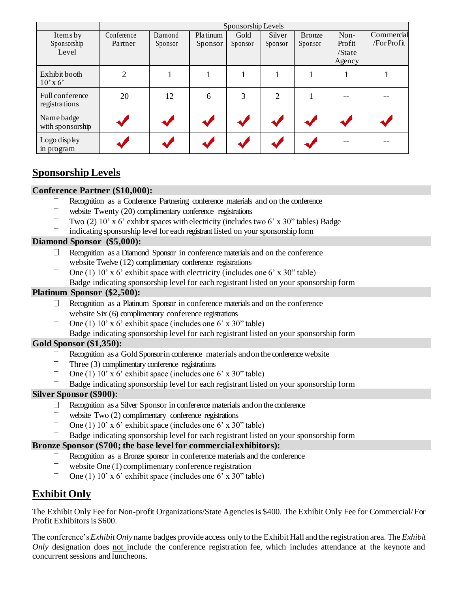|                                  | Sponsorship Levels |         |          |         |                |               |                       |             |
|----------------------------------|--------------------|---------|----------|---------|----------------|---------------|-----------------------|-------------|
| Items by                         | Conference         | Diamond | Platinum | Gold    | Silver         | <b>Bronze</b> | Non-                  | Commercial  |
| Sponsorship                      | Partner            | Sponsor | Sponsor  | Sponsor | Sponsor        | Sponsor       | Profit                | /For Profit |
| Level                            |                    |         |          |         |                |               | $\sqrt{\text{State}}$ |             |
|                                  |                    |         |          |         |                |               | Agency                |             |
| Exhibit booth<br>$10'$ x 6'      | $\overline{2}$     |         |          |         |                |               |                       |             |
| Full conference<br>registrations | 20                 | 12      | 6        | 3       | $\overline{2}$ |               |                       |             |
| Name badge<br>with sponsorship   |                    |         |          |         |                |               |                       |             |
| Logo display<br>in program       |                    |         |          |         |                |               |                       |             |

# **Sponsorship Levels**

### **Conference Partner (\$10,000):**

- Recognition as a Conference Partnering conference materials and on the conference Г.
- Г website Twenty (20) complimentary conference registrations
- $\overline{\Box}$ Two (2) 10' x 6' exhibit spaces with electricity (includes two 6' x 30" tables) Badge
- indicating sponsorship level for each registrant listed on your sponsorship form Г.

#### **Diamond Sponsor (\$5,000):**

- Recognition as a Diamond Sponsor in conference materials and on the conference
- website Twelve (12) complimentary conference registrations  $\Box$
- Γ. One (1) 10' x 6' exhibit space with electricity (includes one 6' x 30" table)
- Badge indicating sponsorship level for each registrant listed on your sponsorship form Г.

### **Platinum Sponsor (\$2,500):**

- $\Box$ Recognition as a Platinum Sponsor in conference materials and on the conference
- website Six (6) complimentary conference registrations  $\Box$
- $\Box$ One (1) 10' x 6' exhibit space (includes one 6' x 30" table)
- Badge indicating sponsorship level for each registrant listed on your sponsorship form

### **Gold Sponsor (\$1,350):**

- Recognition as a Gold Sponsor in conference materials and on the conference website
- Three (3) complimentary conference registrations Г
- $\Box$ One (1) 10' x 6' exhibit space (includes one 6' x 30" table)
- Badge indicating sponsorship level for each registrant listed on your sponsorship form

#### **Silver Sponsor (\$900):**

- $\Box$ Recognition as a Silver Sponsor in conference materials andon the conference
- П website Two  $(2)$  complimentary conference registrations
- One (1) 10' x 6' exhibit space (includes one 6' x 30" table)  $\Box$
- Badge indicating sponsorship level for each registrant listed on your sponsorship form

### **Bronze Sponsor (\$700; the base level for commercialexhibitors):**

- Recognition as a Bronze sponsor in conference materials and the conference Г
- website One (1) complimentary conference registration  $\overline{\Box}$
- Г One (1) 10' x 6' exhibit space (includes one 6' x 30" table)

# **Exhibit Only**

The Exhibit Only Fee for Non-profit Organizations/State Agencies is \$400. The Exhibit Only Fee for Commercial/ For Profit Exhibitors is \$600.

The conference's*Exhibit Only* name badges provide access only to the Exhibit Hall and the registration area. The *Exhibit Only* designation does not include the conference registration fee, which includes attendance at the keynote and concurrent sessions and luncheons.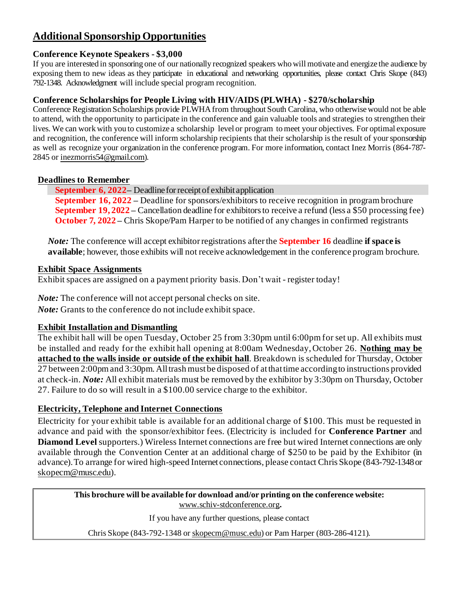# **Additional Sponsorship Opportunities**

### **Conference Keynote Speakers - \$3,000**

If you are interested in sponsoring one of our nationally recognized speakers who will motivate and energize the audience by exposing them to new ideas as they participate in educational and networking opportunities, please contact Chris Skope (843) 792-1348. Acknowledgment will include special program recognition.

## **Conference Scholarships for People Living with HIV/AIDS (PLWHA) - \$270/scholarship**

Conference Registration Scholarships provide PLWHA from throughout South Carolina, who otherwise would not be able to attend, with the opportunity to participate in the conference and gain valuable tools and strategies to strengthen their lives. We can work with you to customize a scholarship level or program tomeet your objectives. For optimal exposure and recognition, the conference will inform scholarship recipients that their scholarship is the result of your sponsorship as well as recognize your organization in the conference program. For more information, contact Inez Morris (864-787- 2845 or [inezmorris54@gmail.com](mailto:inezmorris54@gmail.com)).

## **Deadlines to Remember**

**September 6, 2022** – Deadline for receipt of exhibit application **September 16, 2022 –** Deadline for sponsors/exhibitors to receive recognition in program brochure **September 19, 2022 –** Cancellation deadline for exhibitors to receive a refund (less a \$50 processing fee) **October 7, 2022** – Chris Skope/Pam Harper to be notified of any changes in confirmed registrants

*Note:* The conference will accept exhibitor registrations after the **September 16** deadline **if space is available**; however, those exhibits will not receive acknowledgement in the conference program brochure*.*

## **Exhibit Space Assignments**

Exhibit spaces are assigned on a payment priority basis. Don't wait - register today!

*Note:* The conference will not accept personal checks on site. *Note:* Grants to the conference do not include exhibit space.

# **Exhibit Installation and Dismantling**

The exhibit hall will be open Tuesday, October 25 from 3:30pm until 6:00pm for set up. All exhibits must be installed and ready for the exhibit hall opening at 8:00am Wednesday, October 26. **Nothing may be attached to the walls inside or outside of the exhibit hall**. Breakdown is scheduled for Thursday, October 27 between 2:00pm and 3:30pm. All trash must be disposed of at that time according to instructions provided at check-in. *Note:* All exhibit materials must be removed by the exhibitor by 3:30pm on Thursday, October 27. Failure to do so will result in a \$100.00 service charge to the exhibitor.

# **Electricity, Telephone and Internet Connections**

Electricity for your exhibit table is available for an additional charge of \$100. This must be requested in advance and paid with the sponsor/exhibitor fees. (Electricity is included for **Conference Partner** and **Diamond Level** supporters.) Wireless Internet connections are free but wired Internet connections are only available through the Convention Center at an additional charge of \$250 to be paid by the Exhibitor (in advance).To arrange for wired high-speed Internet connections, please contact Chris Skope (843-792-1348or [skopecm@musc.edu](mailto:skopecm@musc.edu)).

**This brochure will be available for download and/or printing on the conference website:** [www.schiv-stdconference.org](http://www.schiv-stdconference.org/)**.**

If you have any further questions, please contact

Chris Skope (843-792-1348 o[r skopecm@musc.edu\)](mailto:skopecm@musc.edu) or Pam Harper (803-286-4121).